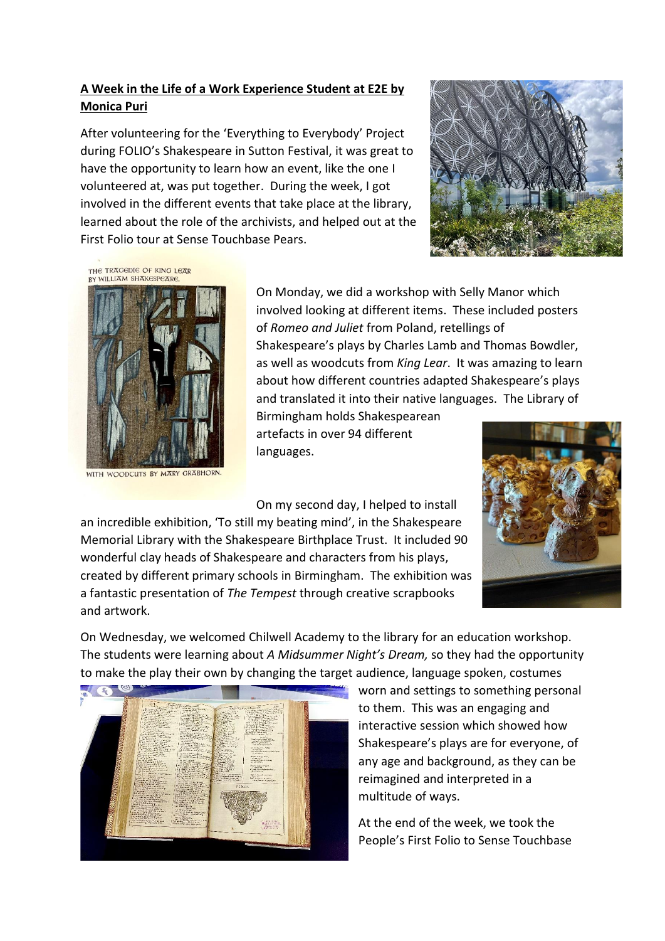## **A Week in the Life of a Work Experience Student at E2E by Monica Puri**

After volunteering for the 'Everything to Everybody' Project during FOLIO's Shakespeare in Sutton Festival, it was great to have the opportunity to learn how an event, like the one I volunteered at, was put together. During the week, I got involved in the different events that take place at the library, learned about the role of the archivists, and helped out at the First Folio tour at Sense Touchbase Pears.



THE TRAGEDIE OF KING LEAR BY WILLIAM SHAKESPEARE



WITH WOODCUTS BY MARY GRABHORN.

On Monday, we did a workshop with Selly Manor which involved looking at different items. These included posters of *Romeo and Juliet* from Poland, retellings of Shakespeare's plays by Charles Lamb and Thomas Bowdler, as well as woodcuts from *King Lear*. It was amazing to learn about how different countries adapted Shakespeare's plays and translated it into their native languages. The Library of

Birmingham holds Shakespearean artefacts in over 94 different languages.

On my second day, I helped to install

an incredible exhibition, 'To still my beating mind', in the Shakespeare Memorial Library with the Shakespeare Birthplace Trust. It included 90 wonderful clay heads of Shakespeare and characters from his plays, created by different primary schools in Birmingham. The exhibition was a fantastic presentation of *The Tempest* through creative scrapbooks and artwork.



On Wednesday, we welcomed Chilwell Academy to the library for an education workshop. The students were learning about *A Midsummer Night's Dream,* so they had the opportunity to make the play their own by changing the target audience, language spoken, costumes



worn and settings to something personal to them. This was an engaging and interactive session which showed how Shakespeare's plays are for everyone, of any age and background, as they can be reimagined and interpreted in a multitude of ways.

At the end of the week, we took the People's First Folio to Sense Touchbase